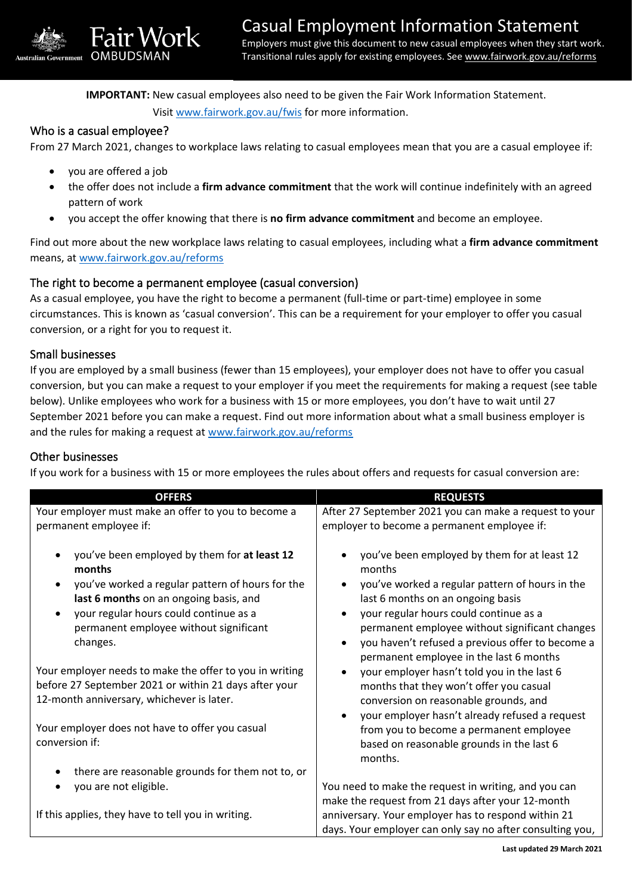Transitional rules apply for existing employees. See [www.fairwork.gov.au/reforms](http://www.fairwork.gov.au/reforms)

**IMPORTANT:** New casual employees also need to be given the Fair Work Information Statement.

Visit [www.fairwork.gov.au/fwis](http://www.fairwork.gov.au/fwis) for more information.

### Who is a casual employee?

From 27 March 2021, changes to workplace laws relating to casual employees mean that you are a casual employee if:

• you are offered a job

**OMBUDSM** 

ir Work

- the offer does not include a **firm advance commitment** that the work will continue indefinitely with an agreed pattern of work
- you accept the offer knowing that there is **no firm advance commitment** and become an employee.

Find out more about the new workplace laws relating to casual employees, including what a **firm advance commitment** means, at [www.fairwork.gov.au/reforms](http://www.fairwork.gov.au/reforms)

# The right to become a permanent employee (casual conversion)

As a casual employee, you have the right to become a permanent (full-time or part-time) employee in some circumstances. This is known as 'casual conversion'. This can be a requirement for your employer to offer you casual conversion, or a right for you to request it.

### Small businesses

If you are employed by a small business (fewer than 15 employees), your employer does not have to offer you casual conversion, but you can make a request to your employer if you meet the requirements for making a request (see table below). Unlike employees who work for a business with 15 or more employees, you don't have to wait until 27 September 2021 before you can make a request. Find out more information about what a small business employer is and the rules for making a request at [www.fairwork.gov.au/reforms](http://www.fairwork.gov.au/reforms)

### Other businesses

If you work for a business with 15 or more employees the rules about offers and requests for casual conversion are:

| <b>OFFERS</b>                                                                                                                                                                                                                                                                  | <b>REQUESTS</b>                                                                                                                                                                                                                                                                                                                           |  |  |
|--------------------------------------------------------------------------------------------------------------------------------------------------------------------------------------------------------------------------------------------------------------------------------|-------------------------------------------------------------------------------------------------------------------------------------------------------------------------------------------------------------------------------------------------------------------------------------------------------------------------------------------|--|--|
| Your employer must make an offer to you to become a<br>permanent employee if:                                                                                                                                                                                                  | After 27 September 2021 you can make a request to your<br>employer to become a permanent employee if:                                                                                                                                                                                                                                     |  |  |
| you've been employed by them for at least 12<br>$\bullet$<br>months<br>you've worked a regular pattern of hours for the<br>$\bullet$<br>last 6 months on an ongoing basis, and<br>your regular hours could continue as a<br>permanent employee without significant<br>changes. | you've been employed by them for at least 12<br>months<br>you've worked a regular pattern of hours in the<br>last 6 months on an ongoing basis<br>your regular hours could continue as a<br>permanent employee without significant changes<br>you haven't refused a previous offer to become a<br>permanent employee in the last 6 months |  |  |
| Your employer needs to make the offer to you in writing<br>before 27 September 2021 or within 21 days after your<br>12-month anniversary, whichever is later.                                                                                                                  | your employer hasn't told you in the last 6<br>months that they won't offer you casual<br>conversion on reasonable grounds, and<br>your employer hasn't already refused a request                                                                                                                                                         |  |  |
| Your employer does not have to offer you casual<br>conversion if:                                                                                                                                                                                                              | from you to become a permanent employee<br>based on reasonable grounds in the last 6<br>months.                                                                                                                                                                                                                                           |  |  |
| there are reasonable grounds for them not to, or<br>$\bullet$                                                                                                                                                                                                                  |                                                                                                                                                                                                                                                                                                                                           |  |  |
| you are not eligible.<br>$\bullet$                                                                                                                                                                                                                                             | You need to make the request in writing, and you can                                                                                                                                                                                                                                                                                      |  |  |
| If this applies, they have to tell you in writing.                                                                                                                                                                                                                             | make the request from 21 days after your 12-month<br>anniversary. Your employer has to respond within 21<br>days. Your employer can only say no after consulting you,                                                                                                                                                                     |  |  |